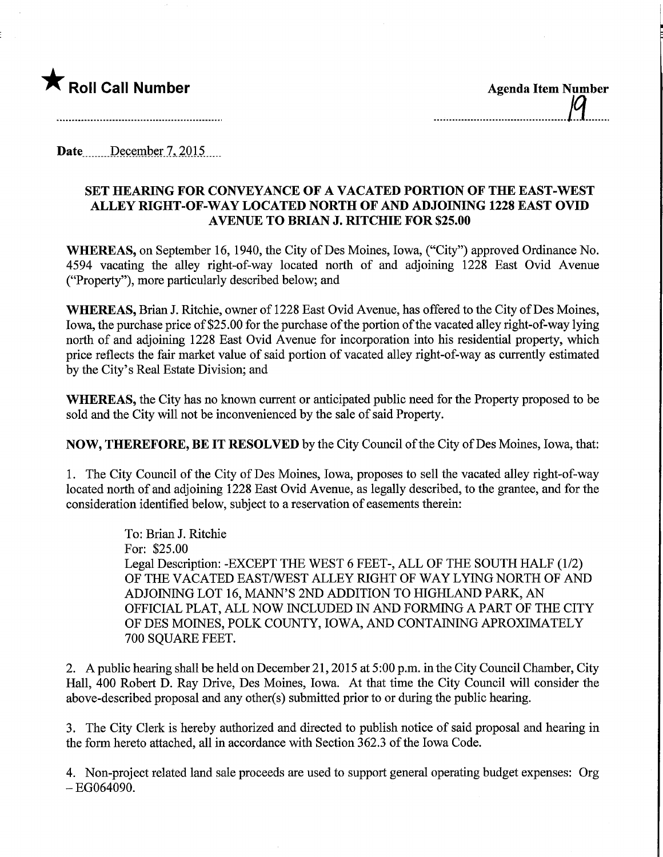

Date December 7, 2015

## SET HEAMNG FOR CONVEYANCE OF A VACATED PORTION OF THE EAST-WEST ALLEY MGHT-OF-WAY LOCATED NORTH OF AND ADJOINING 1228 EAST OVID AVENUE TO BRIAN J. MTCHIE FOR \$25.00

WHEREAS, on September 16, 1940, the City of Des Moines, Iowa, ("City") approved Ordinance No. 4594 vacating the alley right-of-way located north of and adjoining 1228 East Ovid Avenue ("Property"), more particularly described below; and

WHEREAS, Brian J. Ritchie, owner of 1228 East Ovid Avenue, has offered to the City of Des Moines, Iowa, the purchase price of \$25.00 for the purchase of the portion of the vacated alley right-of-way lying north of and adjoining 1228 East Ovid Avenue for incorporation into his residential property, which price reflects the fair market value of said portion of vacated alley right-of-way as currently estimated by the City's Real Estate Division; and

WHEREAS, the City has no known current or anticipated public need for the Property proposed to be sold and the City will not be inconvenienced by the sale of said Property.

NOW, THEREFORE, BE IT RESOLVED by the City Council of the City of Des Moines, Iowa, that:

1. The City Council of the City of Des Moines, Iowa, proposes to sell the vacated alley right-of-way located north of and adjoining 1228 East Ovid Avenue, as legally described, to the grantee, and for the consideration identified below, subject to a reservation of easements therein:

> To: Brian J. Ritchie For: \$25.00 Legal Description: -EXCEPT THE WEST 6 FEET-, ALL OF THE SOUTH HALF (1/2) OF THE VACATED EAST/WEST ALLEY RIGHT OF WAY LYING NORTH OF AND ADJOINING LOT 16, MANN'S 2ND ADDITION TO HIGHLAND PARK, AN OFFICIAL PLAT, ALL NOW INCLUDED IN AND FORMING A PART OF THE CITY OF DES MOINES, POLK COUNTY, IOWA, AND CONTAINING APROXIMATELY 700 SQUARE FEET.

2. A public hearing shall be held on December 21,2015 at 5:00 p.m. in the City Council Chamber, City Hall, 400 Robert D. Ray Drive, Des Moines, Iowa. At that time the City Council will consider the above-described proposal and any other(s) submitted prior to or during the public hearing.

3. The City Clerk is hereby authorized and directed to publish notice of said proposal and hearing in the form hereto attached, all in accordance with Section 362.3 of the Iowa Code.

4. Non-project related land sale proceeds are used to support general operating budget expenses: Org  $-EG064090.$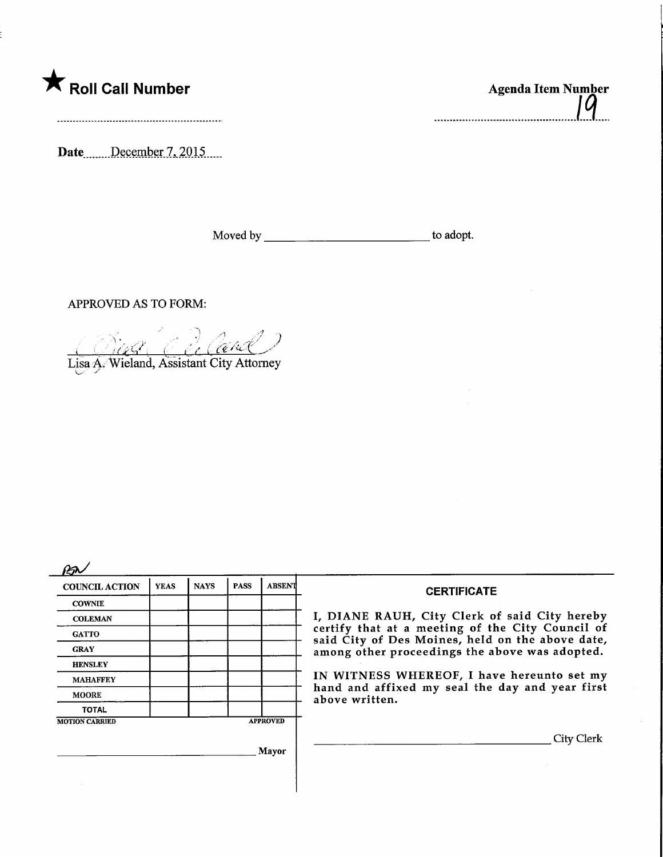

Date December 7, 2015.

Moved by to adopt.

..........................

APPROVED AS TO FORM:

.-7  $\sigma=\varnothing$  $i$  . Original contract  $i$ 

Lisa A. Wieland, Assistant City Attorney

| <b>COUNCIL ACTION</b> | <b>YEAS</b> | <b>NAYS</b> | <b>PASS</b> | <b>ABSENT</b>   | <b>CERTIFICATE</b>                                                                                                                                                                                                                                                                                                         |
|-----------------------|-------------|-------------|-------------|-----------------|----------------------------------------------------------------------------------------------------------------------------------------------------------------------------------------------------------------------------------------------------------------------------------------------------------------------------|
| <b>COWNIE</b>         |             |             |             |                 | I, DIANE RAUH, City Clerk of said City hereby<br>certify that at a meeting of the City Council of<br>said City of Des Moines, held on the above date,<br>among other proceedings the above was adopted.<br>IN WITNESS WHEREOF, I have hereunto set my<br>hand and affixed my seal the day and year first<br>above written. |
| <b>COLEMAN</b>        |             |             |             |                 |                                                                                                                                                                                                                                                                                                                            |
| <b>GATTO</b>          |             |             |             |                 |                                                                                                                                                                                                                                                                                                                            |
| <b>GRAY</b>           |             |             |             |                 |                                                                                                                                                                                                                                                                                                                            |
| <b>HENSLEY</b>        |             |             |             |                 |                                                                                                                                                                                                                                                                                                                            |
| <b>MAHAFFEY</b>       |             |             |             |                 |                                                                                                                                                                                                                                                                                                                            |
| <b>MOORE</b>          |             |             |             |                 |                                                                                                                                                                                                                                                                                                                            |
| <b>TOTAL</b>          |             |             |             |                 |                                                                                                                                                                                                                                                                                                                            |
| <b>MOTION CARRIED</b> |             |             |             | <b>APPROVED</b> |                                                                                                                                                                                                                                                                                                                            |
|                       |             |             |             |                 | City Clerk                                                                                                                                                                                                                                                                                                                 |
| Mayor                 |             |             |             |                 |                                                                                                                                                                                                                                                                                                                            |
|                       |             |             |             |                 |                                                                                                                                                                                                                                                                                                                            |
|                       |             |             |             |                 |                                                                                                                                                                                                                                                                                                                            |
|                       |             |             |             |                 |                                                                                                                                                                                                                                                                                                                            |